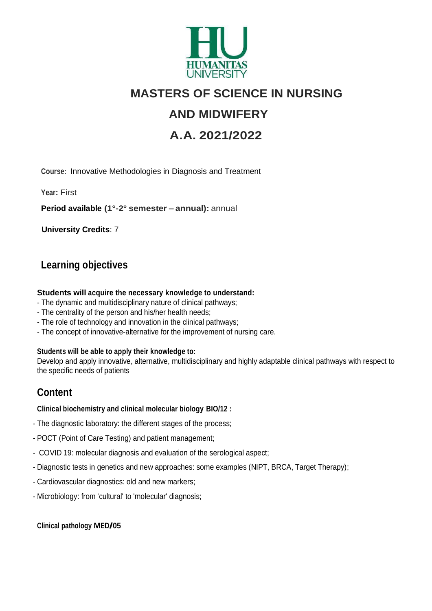

# **MASTERS OF SCIENCE IN NURSING**

# **AND MIDWIFERY**

# **A.A. 2021/2022**

**Course:** Innovative Methodologies in Diagnosis and Treatment

**Year:** First

**Period available (1°-2° semester – annual):** annual

**University Credits**: 7

### **Learning objectives**

#### **Students will acquire the necessary knowledge to understand:**

- The dynamic and multidisciplinary nature of clinical pathways;
- The centrality of the person and his/her health needs;
- The role of technology and innovation in the clinical pathways;
- The concept of innovative-alternative for the improvement of nursing care.

#### **Students will be able to apply their knowledge to:**

Develop and apply innovative, alternative, multidisciplinary and highly adaptable clinical pathways with respect to the specific needs of patients

## **Content**

#### **Clinical biochemistry and clinical molecular biology BIO/12 :**

- The diagnostic laboratory: the different stages of the process;
- POCT (Point of Care Testing) and patient management;
- COVID 19: molecular diagnosis and evaluation of the serological aspect;
- Diagnostic tests in genetics and new approaches: some examples (NIPT, BRCA, Target Therapy);
- Cardiovascular diagnostics: old and new markers;
- Microbiology: from 'cultural' to 'molecular' diagnosis;

#### **Clinical pathology MED/05**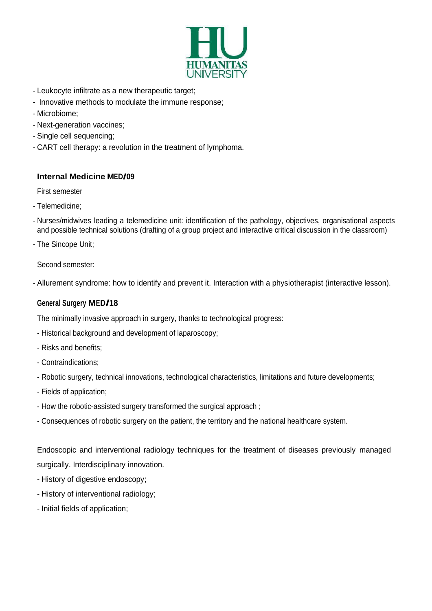

- Leukocyte infiltrate as a new therapeutic target;
- Innovative methods to modulate the immune response;
- Microbiome;
- Next-generation vaccines;
- Single cell sequencing;
- CART cell therapy: a revolution in the treatment of lymphoma.

#### **Internal Medicine MED/09**

First semester

- Telemedicine;
- Nurses/midwives leading a telemedicine unit: identification of the pathology, objectives, organisational aspects and possible technical solutions (drafting of a group project and interactive critical discussion in the classroom)
- The Sincope Unit;

Second semester:

- Allurement syndrome: how to identify and prevent it. Interaction with a physiotherapist (interactive lesson).

#### **General Surgery MED/18**

The minimally invasive approach in surgery, thanks to technological progress:

- Historical background and development of laparoscopy;
- Risks and benefits;
- Contraindications;
- Robotic surgery, technical innovations, technological characteristics, limitations and future developments;
- Fields of application;
- How the robotic-assisted surgery transformed the surgical approach ;
- Consequences of robotic surgery on the patient, the territory and the national healthcare system.

Endoscopic and interventional radiology techniques for the treatment of diseases previously managed surgically. Interdisciplinary innovation.

- History of digestive endoscopy;
- History of interventional radiology;
- Initial fields of application;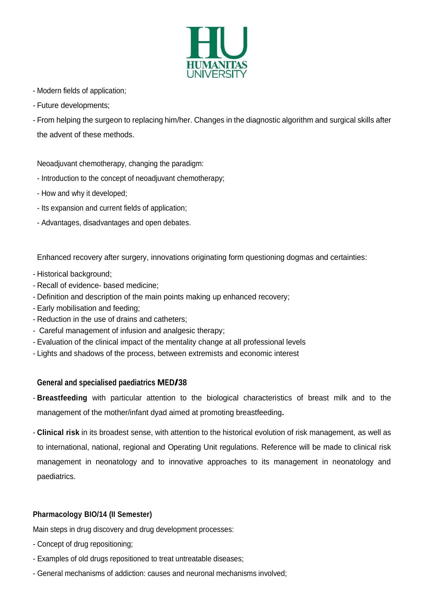

- Modern fields of application;
- Future developments;
- From helping the surgeon to replacing him/her. Changes in the diagnostic algorithm and surgical skills after the advent of these methods.

Neoadjuvant chemotherapy, changing the paradigm:

- Introduction to the concept of neoadjuvant chemotherapy;
- How and why it developed;
- Its expansion and current fields of application;
- Advantages, disadvantages and open debates.

Enhanced recovery after surgery, innovations originating form questioning dogmas and certainties:

- Historical background;
- Recall of evidence- based medicine;
- Definition and description of the main points making up enhanced recovery;
- Early mobilisation and feeding;
- Reduction in the use of drains and catheters;
- Careful management of infusion and analgesic therapy;
- Evaluation of the clinical impact of the mentality change at all professional levels
- Lights and shadows of the process, between extremists and economic interest

#### **General and specialised paediatrics MED/38**

- **Breastfeeding** with particular attention to the biological characteristics of breast milk and to the management of the mother/infant dyad aimed at promoting breastfeeding**.**
- **Clinical risk** in its broadest sense, with attention to the historical evolution of risk management, as well as to international, national, regional and Operating Unit regulations. Reference will be made to clinical risk management in neonatology and to innovative approaches to its management in neonatology and paediatrics.

#### **Pharmacology BIO/14 (II Semester)**

Main steps in drug discovery and drug development processes:

- Concept of drug repositioning;
- Examples of old drugs repositioned to treat untreatable diseases;
- General mechanisms of addiction: causes and neuronal mechanisms involved;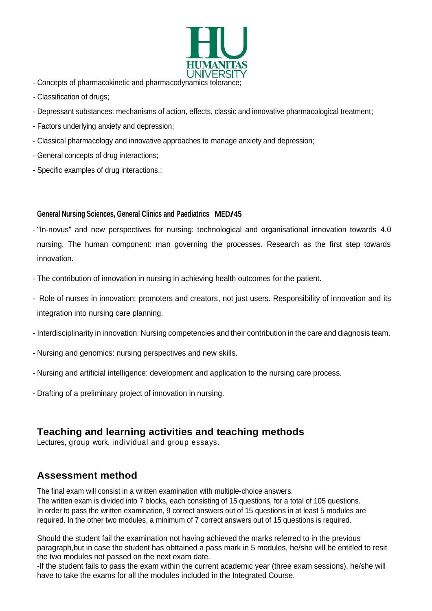

- Concepts of pharmacokinetic and pharmacodynamics tolerance;
- Classification of drugs;
- Depressant substances: mechanisms of action, effects, classic and innovative pharmacological treatment;
- Factors underlying anxiety and depression;
- Classical pharmacology and innovative approaches to manage anxiety and depression;
- General concepts of drug interactions;
- Specific examples of drug interactions.;

#### **General Nursing Sciences, General Clinics and Paediatrics MED/45**

- "In-novus" and new perspectives for nursing: technological and organisational innovation towards 4.0 nursing. The human component: man governing the processes. Research as the first step towards innovation.
- The contribution of innovation in nursing in achieving health outcomes for the patient.
- Role of nurses in innovation: promoters and creators, not just users. Responsibility of innovation and its integration into nursing care planning.
- Interdisciplinarity in innovation: Nursing competencies and their contribution in the care and diagnosis team.
- Nursing and genomics: nursing perspectives and new skills.
- Nursing and artificial intelligence: development and application to the nursing care process.
- Drafting of a preliminary project of innovation in nursing.

### **Teaching and learning activities and teaching methods**

Lectures, group work, individual and group essays.

### **Assessment method**

The final exam will consist in a written examination with multiple-choice answers. The written exam is divided into 7 blocks, each consisting of 15 questions, for a total of 105 questions. In order to pass the written examination, 9 correct answers out of 15 questions in at least 5 modules are required. In the other two modules, a minimum of 7 correct answers out of 15 questions is required.

Should the student fail the examination not having achieved the marks referred to in the previous paragraph,but in case the student has obttained a pass mark in 5 modules, he/she will be entitled to resit the two modules not passed on the next exam date.

-If the student fails to pass the exam within the current academic year (three exam sessions), he/she will have to take the exams for all the modules included in the Integrated Course.